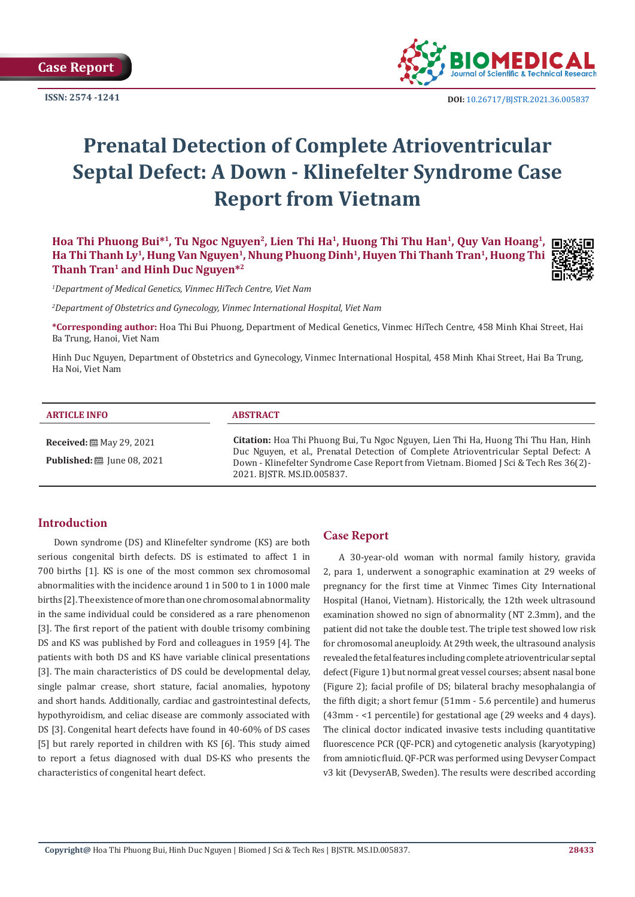**Case Report**

**ISSN: 2574 -1241**



 **DOI:** [10.26717/BJSTR.2021.36.005837](https://dx.doi.org/10.26717/BJSTR.2021.36.005837)

# **Prenatal Detection of Complete Atrioventricular Septal Defect: A Down - Klinefelter Syndrome Case Report from Vietnam**

Hoa Thi Phuong Bui<sup>\*1</sup>, Tu Ngoc Nguyen<sup>2</sup>, Lien Thi Ha<sup>1</sup>, Huong Thi Thu Han<sup>1</sup>, Ouy Van Hoang<sup>1</sup>, Ha Thi Thanh Ly<sup>1</sup>, Hung Van Nguyen<sup>1</sup>, Nhung Phuong Dinh<sup>1</sup>, Huyen Thi Thanh Tran<sup>1</sup>, Huong Thi **Thanh Tran1 and Hinh Duc Nguyen\*2**



*1 Department of Medical Genetics, Vinmec HiTech Centre, Viet Nam*

*2 Department of Obstetrics and Gynecology, Vinmec International Hospital, Viet Nam*

**\*Corresponding author:** Hoa Thi Bui Phuong, Department of Medical Genetics, Vinmec HiTech Centre, 458 Minh Khai Street, Hai Ba Trung, Hanoi, Viet Nam

Hinh Duc Nguyen, Department of Obstetrics and Gynecology, Vinmec International Hospital, 458 Minh Khai Street, Hai Ba Trung, Ha Noi, Viet Nam

#### **ARTICLE INFO ABSTRACT Citation:** Hoa Thi Phuong Bui, Tu Ngoc Nguyen, Lien Thi Ha, Huong Thi Thu Han, Hinh Duc Nguyen, et al., Prenatal Detection of Complete Atrioventricular Septal Defect: A **Received:** May 29, 2021 **Published:** ■ June 08, 2021

2021. BJSTR. MS.ID.005837.

### **Introduction**

Down syndrome (DS) and Klinefelter syndrome (KS) are both serious congenital birth defects. DS is estimated to affect 1 in 700 births [1]. KS is one of the most common sex chromosomal abnormalities with the incidence around 1 in 500 to 1 in 1000 male births [2]. The existence of more than one chromosomal abnormality in the same individual could be considered as a rare phenomenon [3]. The first report of the patient with double trisomy combining DS and KS was published by Ford and colleagues in 1959 [4]. The patients with both DS and KS have variable clinical presentations [3]. The main characteristics of DS could be developmental delay, single palmar crease, short stature, facial anomalies, hypotony and short hands. Additionally, cardiac and gastrointestinal defects, hypothyroidism, and celiac disease are commonly associated with DS [3]. Congenital heart defects have found in 40-60% of DS cases [5] but rarely reported in children with KS [6]. This study aimed to report a fetus diagnosed with dual DS-KS who presents the characteristics of congenital heart defect.

### **Case Report**

Down - Klinefelter Syndrome Case Report from Vietnam. Biomed J Sci & Tech Res 36(2)-

A 30-year-old woman with normal family history, gravida 2, para 1, underwent a sonographic examination at 29 weeks of pregnancy for the first time at Vinmec Times City International Hospital (Hanoi, Vietnam). Historically, the 12th week ultrasound examination showed no sign of abnormality (NT 2.3mm), and the patient did not take the double test. The triple test showed low risk for chromosomal aneuploidy. At 29th week, the ultrasound analysis revealed the fetal features including complete atrioventricular septal defect (Figure 1) but normal great vessel courses; absent nasal bone (Figure 2); facial profile of DS; bilateral brachy mesophalangia of the fifth digit; a short femur (51mm - 5.6 percentile) and humerus (43mm - <1 percentile) for gestational age (29 weeks and 4 days). The clinical doctor indicated invasive tests including quantitative fluorescence PCR (QF-PCR) and cytogenetic analysis (karyotyping) from amniotic fluid. QF-PCR was performed using Devyser Compact v3 kit (DevyserAB, Sweden). The results were described according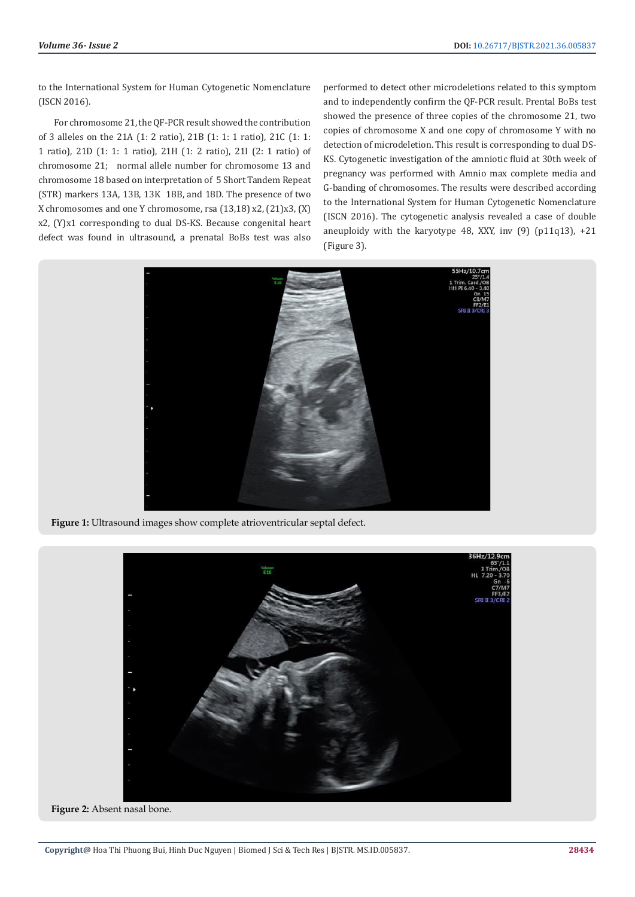to the International System for Human Cytogenetic Nomenclature (ISCN 2016).

For chromosome 21, the QF-PCR result showed the contribution of 3 alleles on the 21A (1: 2 ratio), 21B (1: 1: 1 ratio), 21C (1: 1: 1 ratio), 21D (1: 1: 1 ratio), 21H (1: 2 ratio), 21I (2: 1 ratio) of chromosome 21; normal allele number for chromosome 13 and chromosome 18 based on interpretation of 5 Short Tandem Repeat (STR) markers 13A, 13B, 13K 18B, and 18D. The presence of two X chromosomes and one Y chromosome, rsa (13,18) x2, (21)x3, (X) x2, (Y)x1 corresponding to dual DS-KS. Because congenital heart defect was found in ultrasound, a prenatal BoBs test was also

performed to detect other microdeletions related to this symptom and to independently confirm the QF-PCR result. Prental BoBs test showed the presence of three copies of the chromosome 21, two copies of chromosome X and one copy of chromosome Y with no detection of microdeletion. This result is corresponding to dual DS-KS. Cytogenetic investigation of the amniotic fluid at 30th week of pregnancy was performed with Amnio max complete media and G-banding of chromosomes. The results were described according to the International System for Human Cytogenetic Nomenclature (ISCN 2016). The cytogenetic analysis revealed a case of double aneuploidy with the karyotype 48, XXY, inv  $(9)$   $(p11q13)$ ,  $+21$ (Figure 3).



**Figure 1:** Ultrasound images show complete atrioventricular septal defect.



**Figure 2:** Absent nasal bone.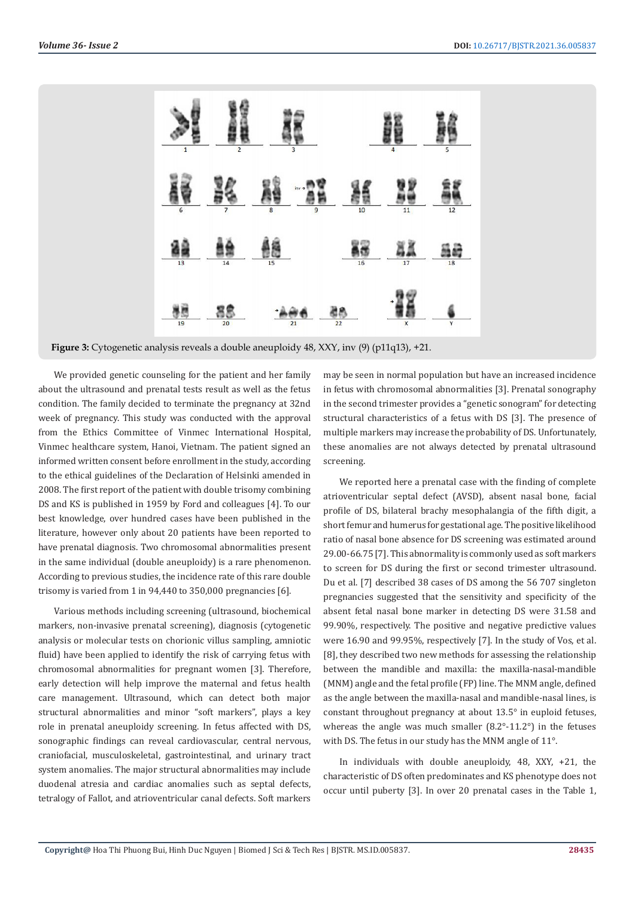

**Figure 3:** Cytogenetic analysis reveals a double aneuploidy 48, XXY, inv (9) (p11q13), +21.

We provided genetic counseling for the patient and her family about the ultrasound and prenatal tests result as well as the fetus condition. The family decided to terminate the pregnancy at 32nd week of pregnancy. This study was conducted with the approval from the Ethics Committee of Vinmec International Hospital, Vinmec healthcare system, Hanoi, Vietnam. The patient signed an informed written consent before enrollment in the study, according to the ethical guidelines of the Declaration of Helsinki amended in 2008. The first report of the patient with double trisomy combining DS and KS is published in 1959 by Ford and colleagues [4]. To our best knowledge, over hundred cases have been published in the literature, however only about 20 patients have been reported to have prenatal diagnosis. Two chromosomal abnormalities present in the same individual (double aneuploidy) is a rare phenomenon. According to previous studies, the incidence rate of this rare double trisomy is varied from 1 in 94,440 to 350,000 pregnancies [6].

Various methods including screening (ultrasound, biochemical markers, non-invasive prenatal screening), diagnosis (cytogenetic analysis or molecular tests on chorionic villus sampling, amniotic fluid) have been applied to identify the risk of carrying fetus with chromosomal abnormalities for pregnant women [3]. Therefore, early detection will help improve the maternal and fetus health care management. Ultrasound, which can detect both major structural abnormalities and minor "soft markers", plays a key role in prenatal aneuploidy screening. In fetus affected with DS, sonographic findings can reveal cardiovascular, central nervous, craniofacial, musculoskeletal, gastrointestinal, and urinary tract system anomalies. The major structural abnormalities may include duodenal atresia and cardiac anomalies such as septal defects, tetralogy of Fallot, and atrioventricular canal defects. Soft markers

may be seen in normal population but have an increased incidence in fetus with chromosomal abnormalities [3]. Prenatal sonography in the second trimester provides a "genetic sonogram" for detecting structural characteristics of a fetus with DS [3]. The presence of multiple markers may increase the probability of DS. Unfortunately, these anomalies are not always detected by prenatal ultrasound screening.

We reported here a prenatal case with the finding of complete atrioventricular septal defect (AVSD), absent nasal bone, facial profile of DS, bilateral brachy mesophalangia of the fifth digit, a short femur and humerus for gestational age. The positive likelihood ratio of nasal bone absence for DS screening was estimated around 29.00-66.75 [7]. This abnormality is commonly used as soft markers to screen for DS during the first or second trimester ultrasound. Du et al. [7] described 38 cases of DS among the 56 707 singleton pregnancies suggested that the sensitivity and specificity of the absent fetal nasal bone marker in detecting DS were 31.58 and 99.90%, respectively. The positive and negative predictive values were 16.90 and 99.95%, respectively [7]. In the study of Vos, et al. [8], they described two new methods for assessing the relationship between the mandible and maxilla: the maxilla-nasal-mandible (MNM) angle and the fetal profile (FP) line. The MNM angle, defined as the angle between the maxilla-nasal and mandible-nasal lines, is constant throughout pregnancy at about 13.5° in euploid fetuses, whereas the angle was much smaller (8.2°-11.2°) in the fetuses with DS. The fetus in our study has the MNM angle of 11°.

In individuals with double aneuploidy, 48, XXY, +21, the characteristic of DS often predominates and KS phenotype does not occur until puberty [3]. In over 20 prenatal cases in the Table 1,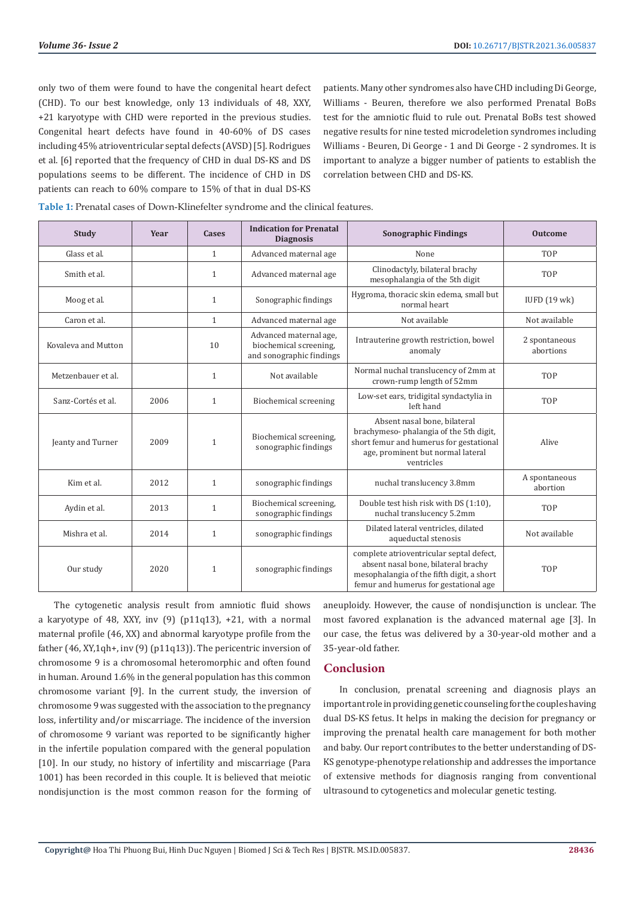only two of them were found to have the congenital heart defect (CHD). To our best knowledge, only 13 individuals of 48, XXY, +21 karyotype with CHD were reported in the previous studies. Congenital heart defects have found in 40-60% of DS cases including 45% atrioventricular septal defects (AVSD) [5]. Rodrigues et al. [6] reported that the frequency of CHD in dual DS-KS and DS populations seems to be different. The incidence of CHD in DS patients can reach to 60% compare to 15% of that in dual DS-KS patients. Many other syndromes also have CHD including Di George, Williams - Beuren, therefore we also performed Prenatal BoBs test for the amniotic fluid to rule out. Prenatal BoBs test showed negative results for nine tested microdeletion syndromes including Williams - Beuren, Di George - 1 and Di George - 2 syndromes. It is important to analyze a bigger number of patients to establish the correlation between CHD and DS-KS.

**Table 1:** Prenatal cases of Down-Klinefelter syndrome and the clinical features.

| <b>Study</b>        | Year | Cases        | <b>Indication for Prenatal</b><br><b>Diagnosis</b>                           | <b>Sonographic Findings</b>                                                                                                                                           | <b>Outcome</b>             |
|---------------------|------|--------------|------------------------------------------------------------------------------|-----------------------------------------------------------------------------------------------------------------------------------------------------------------------|----------------------------|
| Glass et al.        |      | $\mathbf{1}$ | Advanced maternal age                                                        | None                                                                                                                                                                  | <b>TOP</b>                 |
| Smith et al.        |      | $\mathbf{1}$ | Advanced maternal age                                                        | Clinodactyly, bilateral brachy<br>mesophalangia of the 5th digit                                                                                                      | <b>TOP</b>                 |
| Moog et al.         |      | $\mathbf{1}$ | Sonographic findings                                                         | Hygroma, thoracic skin edema, small but<br>normal heart                                                                                                               | IUFD (19 wk)               |
| Caron et al.        |      | $\mathbf{1}$ | Advanced maternal age                                                        | Not available                                                                                                                                                         | Not available              |
| Kovaleva and Mutton |      | 10           | Advanced maternal age,<br>biochemical screening,<br>and sonographic findings | Intrauterine growth restriction, bowel<br>anomaly                                                                                                                     | 2 spontaneous<br>abortions |
| Metzenbauer et al.  |      | $\mathbf{1}$ | Not available                                                                | Normal nuchal translucency of 2mm at<br>crown-rump length of 52mm                                                                                                     | <b>TOP</b>                 |
| Sanz-Cortés et al.  | 2006 | $\mathbf{1}$ | Biochemical screening                                                        | Low-set ears, tridigital syndactylia in<br>left hand                                                                                                                  | <b>TOP</b>                 |
| Jeanty and Turner   | 2009 | $\mathbf{1}$ | Biochemical screening,<br>sonographic findings                               | Absent nasal bone, bilateral<br>brachymeso-phalangia of the 5th digit,<br>short femur and humerus for gestational<br>age, prominent but normal lateral<br>ventricles  | Alive                      |
| Kim et al.          | 2012 | $\mathbf{1}$ | sonographic findings                                                         | nuchal translucency 3.8mm                                                                                                                                             | A spontaneous<br>abortion  |
| Aydin et al.        | 2013 | $\mathbf{1}$ | Biochemical screening,<br>sonographic findings                               | Double test hish risk with DS (1:10).<br>nuchal translucency 5.2mm                                                                                                    | <b>TOP</b>                 |
| Mishra et al.       | 2014 | $\mathbf{1}$ | sonographic findings                                                         | Dilated lateral ventricles, dilated<br>aqueductal stenosis                                                                                                            | Not available              |
| Our study           | 2020 | $\mathbf{1}$ | sonographic findings                                                         | complete atrioventricular septal defect,<br>absent nasal bone, bilateral brachy<br>mesophalangia of the fifth digit, a short<br>femur and humerus for gestational age | <b>TOP</b>                 |

The cytogenetic analysis result from amniotic fluid shows a karyotype of 48, XXY, inv  $(9)$   $(p11q13)$ , +21, with a normal maternal profile (46, XX) and abnormal karyotype profile from the father (46, XY,1qh+, inv (9) (p11q13)). The pericentric inversion of chromosome 9 is a chromosomal heteromorphic and often found in human. Around 1.6% in the general population has this common chromosome variant [9]. In the current study, the inversion of chromosome 9 was suggested with the association to the pregnancy loss, infertility and/or miscarriage. The incidence of the inversion of chromosome 9 variant was reported to be significantly higher in the infertile population compared with the general population [10]. In our study, no history of infertility and miscarriage (Para 1001) has been recorded in this couple. It is believed that meiotic nondisjunction is the most common reason for the forming of aneuploidy. However, the cause of nondisjunction is unclear. The most favored explanation is the advanced maternal age [3]. In our case, the fetus was delivered by a 30-year-old mother and a 35-year-old father.

## **Conclusion**

In conclusion, prenatal screening and diagnosis plays an important role in providing genetic counseling for the couples having dual DS-KS fetus. It helps in making the decision for pregnancy or improving the prenatal health care management for both mother and baby. Our report contributes to the better understanding of DS-KS genotype-phenotype relationship and addresses the importance of extensive methods for diagnosis ranging from conventional ultrasound to cytogenetics and molecular genetic testing.